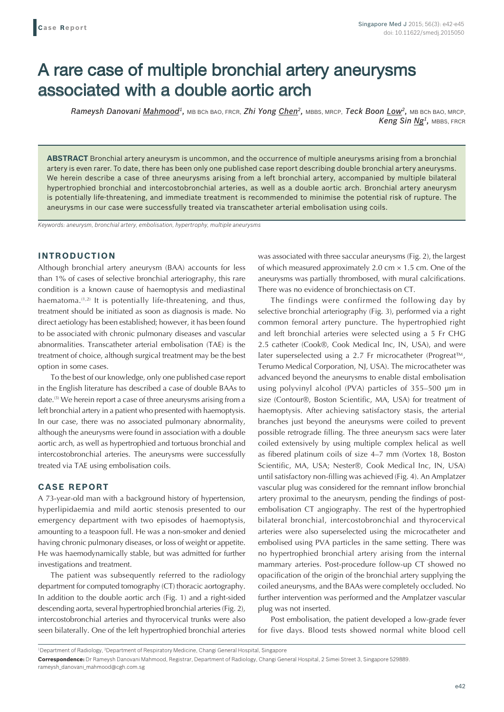# A rare case of multiple bronchial artery aneurysms associated with a double aortic arch

*Rameysh Danovani Mahmood1,* MB BCh BAO, FRCR, *Zhi Yong Chen2,* MBBS, MRCP, *Teck Boon Low2,* MB BCh BAO, MRCP, *Keng Sin Ng1,* MBBS, FRCR

**ABSTRACT** Bronchial artery aneurysm is uncommon, and the occurrence of multiple aneurysms arising from a bronchial artery is even rarer. To date, there has been only one published case report describing double bronchial artery aneurysms. We herein describe a case of three aneurysms arising from a left bronchial artery, accompanied by multiple bilateral hypertrophied bronchial and intercostobronchial arteries, as well as a double aortic arch. Bronchial artery aneurysm is potentially life-threatening, and immediate treatment is recommended to minimise the potential risk of rupture. The aneurysms in our case were successfully treated via transcatheter arterial embolisation using coils.

*Keywords: aneurysm, bronchial artery, embolisation, hypertrophy, multiple aneurysms*

#### **INTRODUCTION**

Although bronchial artery aneurysm (BAA) accounts for less than 1% of cases of selective bronchial arteriography, this rare condition is a known cause of haemoptysis and mediastinal haematoma.<sup>(1,2)</sup> It is potentially life-threatening, and thus, treatment should be initiated as soon as diagnosis is made. No direct aetiology has been established; however, it has been found to be associated with chronic pulmonary diseases and vascular abnormalities. Transcatheter arterial embolisation (TAE) is the treatment of choice, although surgical treatment may be the best option in some cases.

To the best of our knowledge, only one published case report in the English literature has described a case of double BAAs to date.(3) We herein report a case of three aneurysms arising from a left bronchial artery in a patient who presented with haemoptysis. In our case, there was no associated pulmonary abnormality, although the aneurysms were found in association with a double aortic arch, as well as hypertrophied and tortuous bronchial and intercostobronchial arteries. The aneurysms were successfully treated via TAE using embolisation coils.

## **CASE REPORT**

A 73-year-old man with a background history of hypertension, hyperlipidaemia and mild aortic stenosis presented to our emergency department with two episodes of haemoptysis, amounting to a teaspoon full. He was a non-smoker and denied having chronic pulmonary diseases, or loss of weight or appetite. He was haemodynamically stable, but was admitted for further investigations and treatment.

The patient was subsequently referred to the radiology department for computed tomography (CT) thoracic aortography. In addition to the double aortic arch (Fig. 1) and a right-sided descending aorta, several hypertrophied bronchial arteries (Fig. 2), intercostobronchial arteries and thyrocervical trunks were also seen bilaterally. One of the left hypertrophied bronchial arteries was associated with three saccular aneurysms (Fig. 2), the largest of which measured approximately 2.0 cm  $\times$  1.5 cm. One of the aneurysms was partially thrombosed, with mural calcifications. There was no evidence of bronchiectasis on CT.

The findings were confirmed the following day by selective bronchial arteriography (Fig. 3), performed via a right common femoral artery puncture. The hypertrophied right and left bronchial arteries were selected using a 5 Fr CHG 2.5 catheter (Cook®, Cook Medical Inc, IN, USA), and were later superselected using a 2.7 Fr microcatheter (Progreat™, Terumo Medical Corporation, NJ, USA). The microcatheter was advanced beyond the aneurysms to enable distal embolisation using polyvinyl alcohol (PVA) particles of 355–500 μm in size (Contour®, Boston Scientific, MA, USA) for treatment of haemoptysis. After achieving satisfactory stasis, the arterial branches just beyond the aneurysms were coiled to prevent possible retrograde filling. The three aneurysm sacs were later coiled extensively by using multiple complex helical as well as fibered platinum coils of size 4–7 mm (Vortex 18, Boston Scientific, MA, USA; Nester®, Cook Medical Inc, IN, USA) until satisfactory non-filling was achieved (Fig. 4). An Amplatzer vascular plug was considered for the remnant inflow bronchial artery proximal to the aneurysm, pending the findings of postembolisation CT angiography. The rest of the hypertrophied bilateral bronchial, intercostobronchial and thyrocervical arteries were also superselected using the microcatheter and embolised using PVA particles in the same setting. There was no hypertrophied bronchial artery arising from the internal mammary arteries. Post-procedure follow-up CT showed no opacification of the origin of the bronchial artery supplying the coiled aneurysms, and the BAAs were completely occluded. No further intervention was performed and the Amplatzer vascular plug was not inserted.

Post embolisation, the patient developed a low-grade fever for five days. Blood tests showed normal white blood cell

<sup>&</sup>lt;sup>1</sup>Department of Radiology, <sup>2</sup>Department of Respiratory Medicine, Changi General Hospital, Singapore

**Correspondence:** Dr Rameysh Danovani Mahmood, Registrar, Department of Radiology, Changi General Hospital, 2 Simei Street 3, Singapore 529889. rameysh\_danovani\_mahmood@cgh.com.sg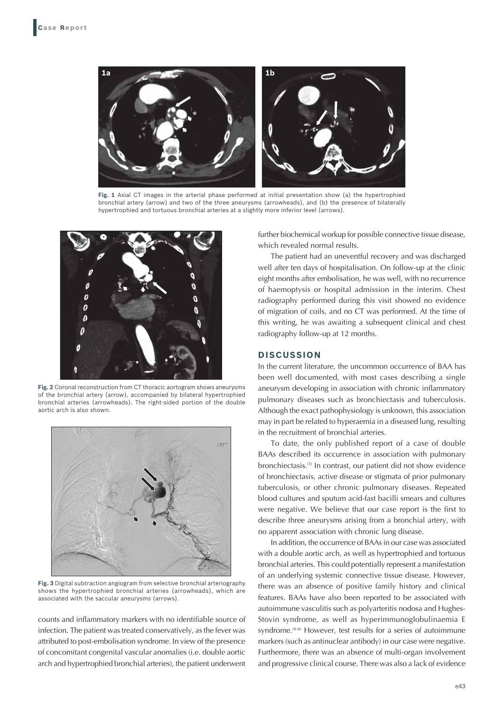

**Fig. 1** Axial CT images in the arterial phase performed at initial presentation show (a) the hypertrophied bronchial artery (arrow) and two of the three aneurysms (arrowheads), and (b) the presence of bilaterally hypertrophied and tortuous bronchial arteries at a slightly more inferior level (arrows).



**Fig. 2** Coronal reconstruction from CT thoracic aortogram shows aneurysms of the bronchial artery (arrow), accompanied by bilateral hypertrophied bronchial arteries (arrowheads). The right-sided portion of the double aortic arch is also shown.



**Fig. 3** Digital subtraction angiogram from selective bronchial arteriography shows the hypertrophied bronchial arteries (arrowheads), which are associated with the saccular aneurysms (arrows).

counts and inflammatory markers with no identifiable source of infection. The patient was treated conservatively, as the fever was attributed to post-embolisation syndrome. In view of the presence of concomitant congenital vascular anomalies (i.e. double aortic arch and hypertrophied bronchial arteries), the patient underwent further biochemical workup for possible connective tissue disease, which revealed normal results.

The patient had an uneventful recovery and was discharged well after ten days of hospitalisation. On follow-up at the clinic eight months after embolisation, he was well, with no recurrence of haemoptysis or hospital admission in the interim. Chest radiography performed during this visit showed no evidence of migration of coils, and no CT was performed. At the time of this writing, he was awaiting a subsequent clinical and chest radiography follow-up at 12 months.

#### **DISCUSSION**

In the current literature, the uncommon occurrence of BAA has been well documented, with most cases describing a single aneurysm developing in association with chronic inflammatory pulmonary diseases such as bronchiectasis and tuberculosis. Although the exact pathophysiology is unknown, this association may in part be related to hyperaemia in a diseased lung, resulting in the recruitment of bronchial arteries.

To date, the only published report of a case of double BAAs described its occurrence in association with pulmonary bronchiectasis.(3) In contrast, our patient did not show evidence of bronchiectasis, active disease or stigmata of prior pulmonary tuberculosis, or other chronic pulmonary diseases. Repeated blood cultures and sputum acid-fast bacilli smears and cultures were negative. We believe that our case report is the first to describe three aneurysms arising from a bronchial artery, with no apparent association with chronic lung disease.

In addition, the occurrence of BAAs in our case was associated with a double aortic arch, as well as hypertrophied and tortuous bronchial arteries. This could potentially represent a manifestation of an underlying systemic connective tissue disease. However, there was an absence of positive family history and clinical features. BAAs have also been reported to be associated with autoimmune vasculitis such as polyarteritis nodosa and Hughes-Stovin syndrome, as well as hyperimmunoglobulinaemia E syndrome.<sup>(4-6)</sup> However, test results for a series of autoimmune markers (such as antinuclear antibody) in our case were negative. Furthermore, there was an absence of multi-organ involvement and progressive clinical course. There was also a lack of evidence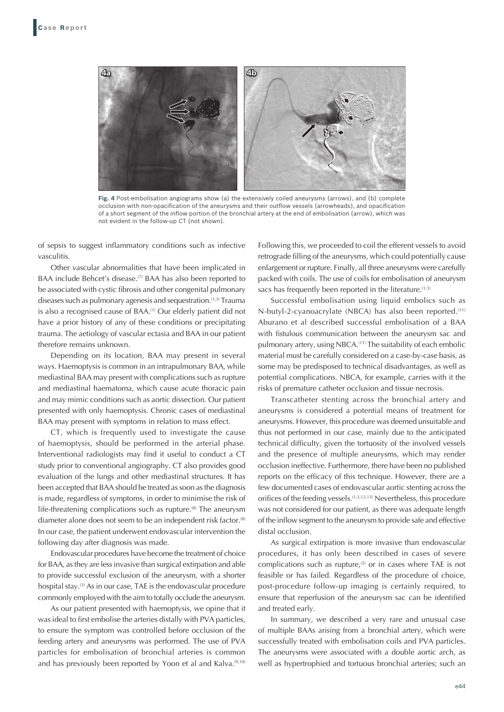

**Fig. 4** Post-embolisation angiograms show (a) the extensively coiled aneurysms (arrows), and (b) complete occlusion with non-opacification of the aneurysms and their outflow vessels (arrowheads), and opacification of a short segment of the inflow portion of the bronchial artery at the end of embolisation (arrow), which was not evident in the follow-up CT (not shown).

of sepsis to suggest inflammatory conditions such as infective vasculitis.

Other vascular abnormalities that have been implicated in BAA include Behcet's disease.<sup>(7)</sup> BAA has also been reported to be associated with cystic fibrosis and other congenital pulmonary diseases such as pulmonary agenesis and sequestration.<sup>(1,3)</sup> Trauma is also a recognised cause of BAA.<sup>(1)</sup> Our elderly patient did not have a prior history of any of these conditions or precipitating trauma. The aetiology of vascular ectasia and BAA in our patient therefore remains unknown.

Depending on its location, BAA may present in several ways. Haemoptysis is common in an intrapulmonary BAA, while mediastinal BAA may present with complications such as rupture and mediastinal haematoma, which cause acute thoracic pain and may mimic conditions such as aortic dissection. Our patient presented with only haemoptysis. Chronic cases of mediastinal BAA may present with symptoms in relation to mass effect.

CT, which is frequently used to investigate the cause of haemoptysis, should be performed in the arterial phase. Interventional radiologists may find it useful to conduct a CT study prior to conventional angiography. CT also provides good evaluation of the lungs and other mediastinal structures. It has been accepted that BAA should be treated as soon as the diagnosis is made, regardless of symptoms, in order to minimise the risk of life-threatening complications such as rupture.<sup>(8)</sup> The aneurysm diameter alone does not seem to be an independent risk factor.<sup>(8)</sup> In our case, the patient underwent endovascular intervention the following day after diagnosis was made.

Endovascular procedures have become the treatment of choice for BAA, as they are less invasive than surgical extirpation and able to provide successful exclusion of the aneurysm, with a shorter hospital stay.<sup>(3)</sup> As in our case, TAE is the endovascular procedure commonly employed with the aim to totally occlude the aneurysm.

As our patient presented with haemoptysis, we opine that it was ideal to first embolise the arteries distally with PVA particles, to ensure the symptom was controlled before occlusion of the feeding artery and aneurysms was performed. The use of PVA particles for embolisation of bronchial arteries is common and has previously been reported by Yoon et al and Kalva.<sup>(9,10)</sup> Following this, we proceeded to coil the efferent vessels to avoid retrograde filling of the aneurysms, which could potentially cause enlargement or rupture. Finally, all three aneurysms were carefully packed with coils. The use of coils for embolisation of aneurysm sacs has frequently been reported in the literature.<sup>(1,3)</sup>

Successful embolisation using liquid embolics such as N-butyl-2-cyanoacrylate (NBCA) has also been reported.<sup>(11)</sup> Aburano et al described successful embolisation of a BAA with fistulous communication between the aneurysm sac and pulmonary artery, using NBCA.<sup>(11)</sup> The suitability of each embolic material must be carefully considered on a case-by-case basis, as some may be predisposed to technical disadvantages, as well as potential complications. NBCA, for example, carries with it the risks of premature catheter occlusion and tissue necrosis.

Transcatheter stenting across the bronchial artery and aneurysms is considered a potential means of treatment for aneurysms. However, this procedure was deemed unsuitable and thus not performed in our case, mainly due to the anticipated technical difficulty, given the tortuosity of the involved vessels and the presence of multiple aneurysms, which may render occlusion ineffective. Furthermore, there have been no published reports on the efficacy of this technique. However, there are a few documented cases of endovascular aortic stenting across the orifices of the feeding vessels.(1,3,12,13) Nevertheless, this procedure was not considered for our patient, as there was adequate length of the inflow segment to the aneurysm to provide safe and effective distal occlusion.

As surgical extirpation is more invasive than endovascular procedures, it has only been described in cases of severe complications such as rupture, $(2)$  or in cases where TAE is not feasible or has failed. Regardless of the procedure of choice, post-procedure follow-up imaging is certainly required, to ensure that reperfusion of the aneurysm sac can be identified and treated early.

In summary, we described a very rare and unusual case of multiple BAAs arising from a bronchial artery, which were successfully treated with embolisation coils and PVA particles. The aneurysms were associated with a double aortic arch, as well as hypertrophied and tortuous bronchial arteries; such an